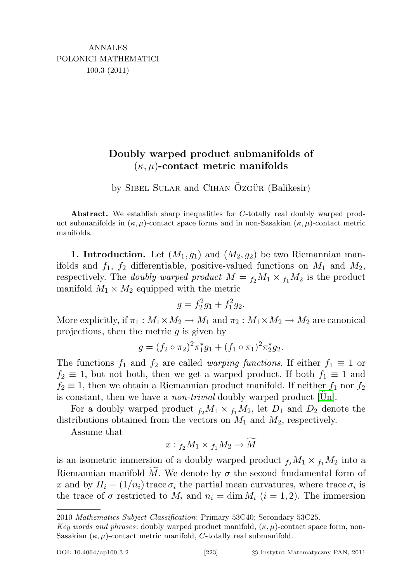## Doubly warped product submanifolds of  $(\kappa, \mu)$ -contact metric manifolds

by SIBEL SULAR and CIHAN OZGÜR (Balikesir)

Abstract. We establish sharp inequalities for C-totally real doubly warped product submanifolds in  $(\kappa, \mu)$ -contact space forms and in non-Sasakian  $(\kappa, \mu)$ -contact metric manifolds.

1. Introduction. Let  $(M_1, g_1)$  and  $(M_2, g_2)$  be two Riemannian manifolds and  $f_1$ ,  $f_2$  differentiable, positive-valued functions on  $M_1$  and  $M_2$ , respectively. The *doubly warped product*  $M = f_2 M_1 \times f_1 M_2$  is the product manifold  $M_1 \times M_2$  equipped with the metric

$$
g = f_2^2 g_1 + f_1^2 g_2.
$$

More explicitly, if  $\pi_1 : M_1 \times M_2 \to M_1$  and  $\pi_2 : M_1 \times M_2 \to M_2$  are canonical projections, then the metric  $q$  is given by

$$
g = (f_2 \circ \pi_2)^2 \pi_1^* g_1 + (f_1 \circ \pi_1)^2 \pi_2^* g_2.
$$

The functions  $f_1$  and  $f_2$  are called *warping functions*. If either  $f_1 \equiv 1$  or  $f_2 \equiv 1$ , but not both, then we get a warped product. If both  $f_1 \equiv 1$  and  $f_2 \equiv 1$ , then we obtain a Riemannian product manifold. If neither  $f_1$  nor  $f_2$ is constant, then we have a *non-trivial* doubly warped product [\[Un\]](#page-13-0).

For a doubly warped product  $f_2M_1 \times f_1M_2$ , let  $D_1$  and  $D_2$  denote the distributions obtained from the vectors on  $M_1$  and  $M_2$ , respectively.

Assume that

$$
x: {}_{f_2}M_1 \times {}_{f_1}M_2 \to \widetilde{M}
$$

is an isometric immersion of a doubly warped product  $f_2M_1 \times f_1M_2$  into a Riemannian manifold  $\overline{M}$ . We denote by  $\sigma$  the second fundamental form of x and by  $H_i = (1/n_i)$  trace  $\sigma_i$  the partial mean curvatures, where trace  $\sigma_i$  is the trace of  $\sigma$  restricted to  $M_i$  and  $n_i = \dim M_i$   $(i = 1, 2)$ . The immersion

<sup>2010</sup> Mathematics Subject Classification: Primary 53C40; Secondary 53C25.

Key words and phrases: doubly warped product manifold,  $(\kappa, \mu)$ -contact space form, non-Sasakian  $(\kappa, \mu)$ -contact metric manifold, C-totally real submanifold.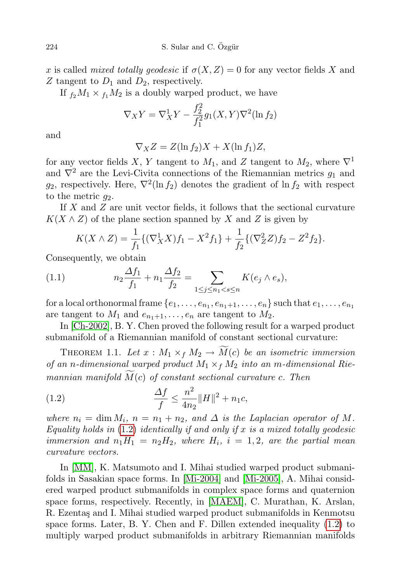x is called mixed totally geodesic if  $\sigma(X, Z) = 0$  for any vector fields X and Z tangent to  $D_1$  and  $D_2$ , respectively.

If  $f_2M_1 \times f_1M_2$  is a doubly warped product, we have

$$
\nabla_X Y = \nabla_X^1 Y - \frac{f_2^2}{f_1^2} g_1(X, Y) \nabla^2 (\ln f_2)
$$

and

$$
\nabla_X Z = Z(\ln f_2)X + X(\ln f_1)Z,
$$

for any vector fields X, Y tangent to  $M_1$ , and Z tangent to  $M_2$ , where  $\nabla^1$ and  $\nabla^2$  are the Levi-Civita connections of the Riemannian metrics  $g_1$  and  $g_2$ , respectively. Here,  $\nabla^2(\ln f_2)$  denotes the gradient of  $\ln f_2$  with respect to the metric  $q_2$ .

If X and Z are unit vector fields, it follows that the sectional curvature  $K(X \wedge Z)$  of the plane section spanned by X and Z is given by

<span id="page-1-1"></span>
$$
K(X \wedge Z) = \frac{1}{f_1} \{ (\nabla_X^1 X) f_1 - X^2 f_1 \} + \frac{1}{f_2} \{ (\nabla_Z^2 Z) f_2 - Z^2 f_2 \}.
$$

Consequently, we obtain

(1.1) 
$$
n_2 \frac{\Delta f_1}{f_1} + n_1 \frac{\Delta f_2}{f_2} = \sum_{1 \le j \le n_1 < s \le n} K(e_j \wedge e_s),
$$

for a local orthonormal frame  $\{e_1, \ldots, e_{n_1}, e_{n_1+1}, \ldots, e_n\}$  such that  $e_1, \ldots, e_{n_1}$ are tangent to  $M_1$  and  $e_{n_1+1}, \ldots, e_n$  are tangent to  $M_2$ .

In [\[Ch-2002\]](#page-12-0), B. Y. Chen proved the following result for a warped product submanifold of a Riemannian manifold of constant sectional curvature:

THEOREM 1.1. Let  $x : M_1 \times_f M_2 \rightarrow \widetilde{M}(c)$  be an isometric immersion of an n-dimensional warped product  $M_1 \times_f M_2$  into an m-dimensional Riemannian manifold  $M(c)$  of constant sectional curvature c. Then

<span id="page-1-0"></span>(1.2) 
$$
\frac{\Delta f}{f} \le \frac{n^2}{4n_2} ||H||^2 + n_1 c,
$$

where  $n_i = \dim M_i$ ,  $n = n_1 + n_2$ , and  $\Delta$  is the Laplacian operator of M. Equality holds in  $(1.2)$  $(1.2)$  identically if and only if x is a mixed totally geodesic immersion and  $n_1H_1 = n_2H_2$ , where  $H_i$ ,  $i = 1, 2$ , are the partial mean curvature vectors.

In [\[MM\]](#page-12-1), K. Matsumoto and I. Mihai studied warped product submanifolds in Sasakian space forms. In [\[Mi-2004\]](#page-13-1) and [\[Mi-2005\]](#page-13-2), A. Mihai considered warped product submanifolds in complex space forms and quaternion space forms, respectively. Recently, in [\[MAEM\]](#page-13-3), C. Murathan, K. Arslan, R. Ezentaş and I. Mihai studied warped product submanifolds in Kenmotsu space forms. Later, B. Y. Chen and F. Dillen extended inequality [\(1.2\)](#page-1-0) to multiply warped product submanifolds in arbitrary Riemannian manifolds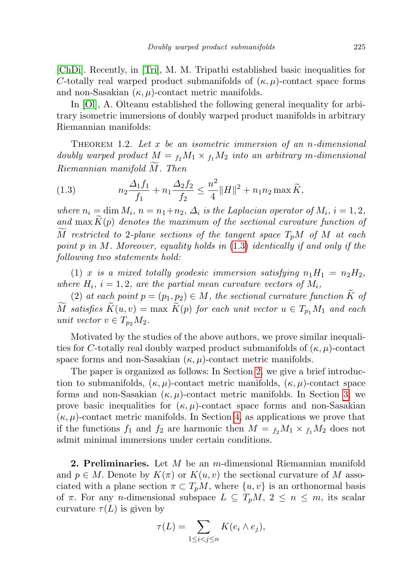[\[ChDi\]](#page-12-2). Recently, in [\[Tri\]](#page-13-4), M. M. Tripathi established basic inequalities for C-totally real warped product submanifolds of  $(\kappa, \mu)$ -contact space forms and non-Sasakian  $(\kappa, \mu)$ -contact metric manifolds.

In [\[Ol\]](#page-13-5), A. Olteanu established the following general inequality for arbitrary isometric immersions of doubly warped product manifolds in arbitrary Riemannian manifolds:

THEOREM 1.2. Let x be an isometric immersion of an n-dimensional doubly warped product  $M = f_2 M_1 \times f_1 M_2$  into an arbitrary m-dimensional  $Riemannian$  manifold  $M$ . Then

<span id="page-2-0"></span>(1.3) 
$$
n_2 \frac{\Delta_1 f_1}{f_1} + n_1 \frac{\Delta_2 f_2}{f_2} \le \frac{n^2}{4} ||H||^2 + n_1 n_2 \max \widetilde{K},
$$

where  $n_i = \dim M_i$ ,  $n = n_1+n_2$ ,  $\Delta_i$  is the Laplacian operator of  $M_i$ ,  $i = 1, 2$ , and  $\max K(p)$  denotes the maximum of the sectional curvature function of M restricted to 2-plane sections of the tangent space  $T_pM$  of M at each point p in M. Moreover, equality holds in  $(1.3)$  $(1.3)$  identically if and only if the following two statements hold:

(1) x is a mixed totally geodesic immersion satisfying  $n_1H_1 = n_2H_2$ , where  $H_i$ ,  $i = 1, 2$ , are the partial mean curvature vectors of  $M_i$ ,

(2) at each point  $p = (p_1, p_2) \in M$ , the sectional curvature function K of M satisfies  $K(u, v) = \max K(p)$  for each unit vector  $u \in T_{p_1}M_1$  and each unit vector  $v \in T_{p_2}M_2$ .

Motivated by the studies of the above authors, we prove similar inequalities for C-totally real doubly warped product submanifolds of  $(\kappa, \mu)$ -contact space forms and non-Sasakian  $(\kappa, \mu)$ -contact metric manifolds.

The paper is organized as follows: In Section [2,](#page-2-1) we give a brief introduction to submanifolds,  $(\kappa, \mu)$ -contact metric manifolds,  $(\kappa, \mu)$ -contact space forms and non-Sasakian  $(\kappa, \mu)$ -contact metric manifolds. In Section [3,](#page-6-0) we prove basic inequalities for  $(\kappa, \mu)$ -contact space forms and non-Sasakian  $(\kappa, \mu)$ -contact metric manifolds. In Section [4,](#page-11-0) as applications we prove that if the functions  $f_1$  and  $f_2$  are harmonic then  $M = f_2M_1 \times f_1M_2$  does not admit minimal immersions under certain conditions.

<span id="page-2-1"></span>**2. Preliminaries.** Let  $M$  be an m-dimensional Riemannian manifold and  $p \in M$ . Denote by  $K(\pi)$  or  $K(u, v)$  the sectional curvature of M associated with a plane section  $\pi \subset T_pM$ , where  $\{u, v\}$  is an orthonormal basis of  $\pi$ . For any *n*-dimensional subspace  $L \subseteq T_pM$ ,  $2 \leq n \leq m$ , its scalar curvature  $\tau(L)$  is given by

$$
\tau(L) = \sum_{1 \le i < j \le n} K(e_i \wedge e_j),
$$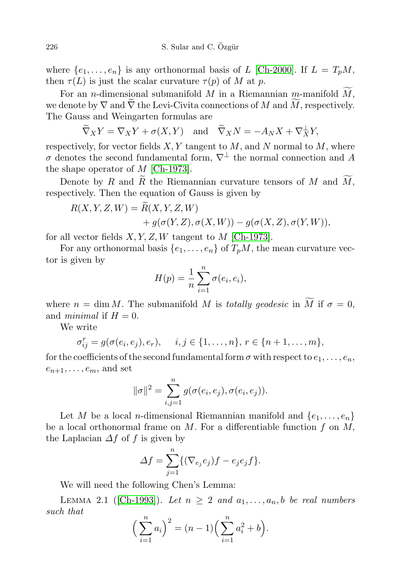where  $\{e_1, \ldots, e_n\}$  is any orthonormal basis of L [\[Ch-2000\]](#page-12-3). If  $L = T_pM$ , then  $\tau(L)$  is just the scalar curvature  $\tau(p)$  of M at p.

For an *n*-dimensional submanifold M in a Riemannian m-manifold  $\widetilde{M}$ , we denote by  $\nabla$  and  $\widetilde{\nabla}$  the Levi-Civita connections of M and  $\widetilde{M}$ , respectively. The Gauss and Weingarten formulas are

$$
\widetilde{\nabla}_X Y = \nabla_X Y + \sigma(X, Y)
$$
 and  $\widetilde{\nabla}_X N = -A_N X + \nabla_X^{\perp} Y$ ,

respectively, for vector fields  $X, Y$  tangent to  $M$ , and N normal to  $M$ , where  $\sigma$  denotes the second fundamental form,  $\nabla^{\perp}$  the normal connection and A the shape operator of  $M$  [\[Ch-1973\]](#page-12-4).

Denote by R and R the Riemannian curvature tensors of M and  $M$ , respectively. Then the equation of Gauss is given by

$$
R(X, Y, Z, W) = \widetilde{R}(X, Y, Z, W)
$$
  
+  $g(\sigma(Y, Z), \sigma(X, W)) - g(\sigma(X, Z), \sigma(Y, W)),$ 

for all vector fields  $X, Y, Z, W$  tangent to M [\[Ch-1973\]](#page-12-4).

For any orthonormal basis  $\{e_1, \ldots, e_n\}$  of  $T_pM$ , the mean curvature vector is given by

$$
H(p) = \frac{1}{n} \sum_{i=1}^{n} \sigma(e_i, e_i),
$$

where  $n = \dim M$ . The submanifold M is totally geodesic in  $\widetilde{M}$  if  $\sigma = 0$ , and *minimal* if  $H = 0$ .

We write

$$
\sigma_{ij}^r = g(\sigma(e_i, e_j), e_r), \quad i, j \in \{1, ..., n\}, r \in \{n+1, ..., m\},\
$$

for the coefficients of the second fundamental form  $\sigma$  with respect to  $e_1, \ldots, e_n$ ,  $e_{n+1}, \ldots, e_m$ , and set

$$
\|\sigma\|^2 = \sum_{i,j=1}^n g(\sigma(e_i, e_j), \sigma(e_i, e_j)).
$$

Let M be a local *n*-dimensional Riemannian manifold and  $\{e_1, \ldots, e_n\}$ be a local orthonormal frame on  $M$ . For a differentiable function  $f$  on  $M$ , the Laplacian  $\Delta f$  of f is given by

$$
\Delta f = \sum_{j=1}^{n} \{ (\nabla_{e_j} e_j) f - e_j e_j f \}.
$$

We will need the following Chen's Lemma:

LEMMA 2.1 ([\[Ch-1993\]](#page-12-5)). Let  $n \geq 2$  and  $a_1, \ldots, a_n, b$  be real numbers such that

$$
\left(\sum_{i=1}^{n} a_i\right)^2 = (n-1)\left(\sum_{i=1}^{n} a_i^2 + b\right).
$$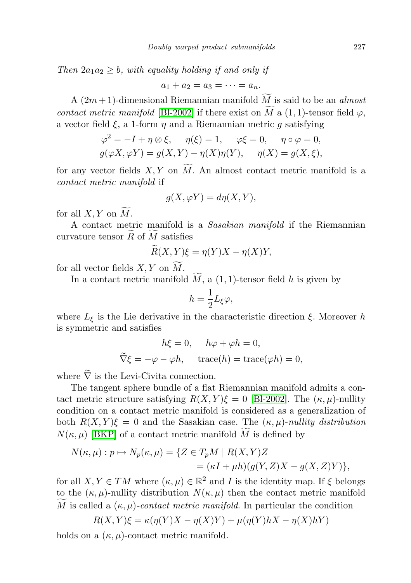Then  $2a_1a_2 \geq b$ , with equality holding if and only if

$$
a_1+a_2=a_3=\cdots=a_n.
$$

A  $(2m+1)$ -dimensional Riemannian manifold  $\widetilde{M}$  is said to be an *almost* contact metric manifold [\[Bl-2002\]](#page-12-6) if there exist on  $\widetilde{M}$  a (1, 1)-tensor field  $\varphi$ , a vector field  $\xi$ , a 1-form  $\eta$  and a Riemannian metric q satisfying

$$
\varphi^2 = -I + \eta \otimes \xi, \quad \eta(\xi) = 1, \quad \varphi \xi = 0, \quad \eta \circ \varphi = 0,
$$
  

$$
g(\varphi X, \varphi Y) = g(X, Y) - \eta(X)\eta(Y), \quad \eta(X) = g(X, \xi),
$$

for any vector fields  $X, Y$  on  $\widetilde{M}$ . An almost contact metric manifold is a contact metric manifold if

$$
g(X, \varphi Y) = d\eta(X, Y),
$$

for all  $X, Y$  on  $M$ .

A contact metric manifold is a Sasakian manifold if the Riemannian curvature tensor  $R$  of  $M$  satisfies

$$
\tilde{R}(X,Y)\xi = \eta(Y)X - \eta(X)Y,
$$

for all vector fields  $X, Y$  on  $\widetilde{M}$ .

In a contact metric manifold  $\widetilde{M}$ , a (1, 1)-tensor field h is given by

$$
h=\frac{1}{2}L_{\xi}\varphi,
$$

where  $L_{\xi}$  is the Lie derivative in the characteristic direction  $\xi$ . Moreover h is symmetric and satisfies

$$
h\xi = 0, \quad h\varphi + \varphi h = 0,
$$
  

$$
\widetilde{\nabla}\xi = -\varphi - \varphi h, \quad \text{trace}(h) = \text{trace}(\varphi h) = 0,
$$

where  $\tilde{\nabla}$  is the Levi-Civita connection.

The tangent sphere bundle of a flat Riemannian manifold admits a contact metric structure satisfying  $R(X, Y)\xi = 0$  [\[Bl-2002\]](#page-12-6). The  $(\kappa, \mu)$ -nullity condition on a contact metric manifold is considered as a generalization of both  $R(X, Y)\xi = 0$  and the Sasakian case. The  $(\kappa, \mu)$ -nullity distribution  $N(\kappa, \mu)$  [\[BKP\]](#page-12-7) of a contact metric manifold M is defined by

$$
N(\kappa, \mu) : p \mapsto N_p(\kappa, \mu) = \{ Z \in T_p M \mid R(X, Y)Z
$$
  
= 
$$
(\kappa I + \mu h)(g(Y, Z)X - g(X, Z)Y) \},
$$

for all  $X, Y \in TM$  where  $(\kappa, \mu) \in \mathbb{R}^2$  and I is the identity map. If  $\xi$  belongs to the  $(\kappa, \mu)$ -nullity distribution  $N(\kappa, \mu)$  then the contact metric manifold  $\widetilde{M}$  is called a  $(\kappa, \mu)$ -contact metric manifold. In particular the condition

$$
R(X,Y)\xi = \kappa(\eta(Y)X - \eta(X)Y) + \mu(\eta(Y)hX - \eta(X)hY)
$$

holds on a  $(\kappa, \mu)$ -contact metric manifold.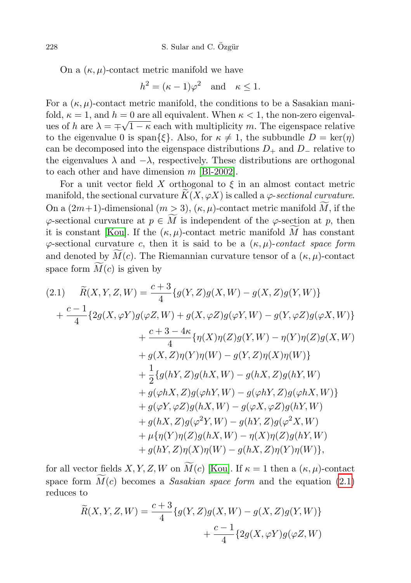On a  $(\kappa, \mu)$ -contact metric manifold we have

$$
h^2 = (\kappa - 1)\varphi^2 \quad \text{and} \quad \kappa \le 1.
$$

For a  $(\kappa, \mu)$ -contact metric manifold, the conditions to be a Sasakian manifold,  $\kappa = 1$ , and  $h = 0$  are all equivalent. When  $\kappa < 1$ , the non-zero eigenvalues of h are  $\lambda = \pm \sqrt{1 - \kappa}$  each with multiplicity m. The eigenspace relative to the eigenvalue 0 is span $\{\xi\}$ . Also, for  $\kappa \neq 1$ , the subbundle  $D = \text{ker}(\eta)$ can be decomposed into the eigenspace distributions  $D_+$  and  $D_-$  relative to the eigenvalues  $\lambda$  and  $-\lambda$ , respectively. These distributions are orthogonal to each other and have dimension  $m$  [\[Bl-2002\]](#page-12-6).

For a unit vector field X orthogonal to  $\xi$  in an almost contact metric manifold, the sectional curvature  $K(X, \varphi X)$  is called a  $\varphi$ -sectional curvature. On a  $(2m+1)$ -dimensional  $(m > 3)$ ,  $(\kappa, \mu)$ -contact metric manifold M, if the  $\varphi$ -sectional curvature at  $p \in \widetilde{M}$  is independent of the  $\varphi$ -section at p, then it is constant [\[Kou\]](#page-12-8). If the  $(\kappa, \mu)$ -contact metric manifold M has constant  $\varphi$ -sectional curvature c, then it is said to be a  $(\kappa, \mu)$ -contact space form and denoted by  $M(c)$ . The Riemannian curvature tensor of a  $(\kappa, \mu)$ -contact space form  $\widetilde{M}(c)$  is given by

<span id="page-5-0"></span>
$$
(2.1) \quad \widetilde{R}(X, Y, Z, W) = \frac{c+3}{4} \{g(Y, Z)g(X, W) - g(X, Z)g(Y, W)\} + \frac{c-1}{4} \{2g(X, \varphi Y)g(\varphi Z, W) + g(X, \varphi Z)g(\varphi Y, W) - g(Y, \varphi Z)g(\varphi X, W)\} + \frac{c+3-4\kappa}{4} \{\eta(X)\eta(Z)g(Y, W) - \eta(Y)\eta(Z)g(X, W) + g(X, Z)\eta(Y)\eta(W) - g(Y, Z)\eta(X)\eta(W)\} + \frac{1}{2} \{g(hY, Z)g(hX, W) - g(hX, Z)g(hY, W) + g(\varphi hX, Z)g(\varphi hY, W) - g(\varphi hY, Z)g(\varphi hX, W)\} + g(\varphi Y, \varphi Z)g(hX, W) - g(\varphi X, \varphi Z)g(hY, W) + g(hX, Z)g(\varphi^2 Y, W) - g(hY, Z)g(\varphi^2 X, W) + \mu\{\eta(Y)\eta(Z)g(hX, W) - \eta(X)\eta(Z)g(hY, W) + g(hY, Z)\eta(X)\eta(W) - g(hX, Z)\eta(Y)\eta(W)\},
$$

for all vector fields X, Y, Z, W on  $\widetilde{M}(c)$  [\[Kou\]](#page-12-8). If  $\kappa = 1$  then a  $(\kappa, \mu)$ -contact space form  $\widetilde{M}(c)$  becomes a Sasakian space form and the equation [\(2.1\)](#page-5-0) reduces to

$$
\widetilde{R}(X,Y,Z,W) = \frac{c+3}{4} \{g(Y,Z)g(X,W) - g(X,Z)g(Y,W)\} + \frac{c-1}{4} \{2g(X,\varphi Y)g(\varphi Z,W)
$$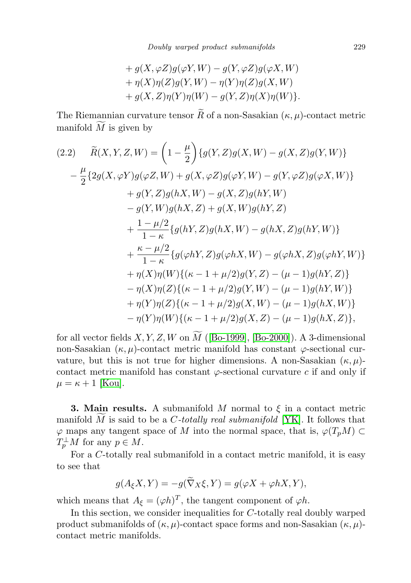+ 
$$
g(X, \varphi Z)g(\varphi Y, W) - g(Y, \varphi Z)g(\varphi X, W)
$$
  
+  $\eta(X)\eta(Z)g(Y, W) - \eta(Y)\eta(Z)g(X, W)$   
+  $g(X, Z)\eta(Y)\eta(W) - g(Y, Z)\eta(X)\eta(W)$ .

The Riemannian curvature tensor  $\widetilde{R}$  of a non-Sasakian  $(\kappa, \mu)$ -contact metric manifold  $M$  is given by

<span id="page-6-1"></span>
$$
(2.2) \quad \tilde{R}(X,Y,Z,W) = \left(1 - \frac{\mu}{2}\right) \{g(Y,Z)g(X,W) - g(X,Z)g(Y,W)\}
$$

$$
- \frac{\mu}{2} \{2g(X,\varphi Y)g(\varphi Z,W) + g(X,\varphi Z)g(\varphi Y,W) - g(Y,\varphi Z)g(\varphi X,W)\}
$$

$$
+ g(Y,Z)g(hX,W) - g(X,Z)g(hY,W)
$$

$$
- g(Y,W)g(hX,Z) + g(X,W)g(hY,Z)
$$

$$
+ \frac{1 - \mu/2}{1 - \kappa} \{g(hY,Z)g(hX,W) - g(hX,Z)g(hY,W)\}
$$

$$
+ \frac{\kappa - \mu/2}{1 - \kappa} \{g(\varphi hY,Z)g(\varphi hX,W) - g(\varphi hX,Z)g(\varphi hY,W)\}
$$

$$
+ \eta(X)\eta(W) \{(\kappa - 1 + \mu/2)g(Y,Z) - (\mu - 1)g(hY,Z)\}
$$

$$
- \eta(X)\eta(Z) \{(\kappa - 1 + \mu/2)g(X,W) - (\mu - 1)g(hX,W)\}
$$

$$
+ \eta(Y)\eta(Z) \{(\kappa - 1 + \mu/2)g(X,W) - (\mu - 1)g(hX,W)\}
$$

$$
- \eta(Y)\eta(W) \{(\kappa - 1 + \mu/2)g(X,Z) - (\mu - 1)g(hX,Z)\},
$$

for all vector fields  $X, Y, Z, W$  on  $\widetilde{M}$  ([\[Bo-1999\]](#page-12-9), [\[Bo-2000\]](#page-12-10)). A 3-dimensional non-Sasakian  $(\kappa, \mu)$ -contact metric manifold has constant  $\varphi$ -sectional curvature, but this is not true for higher dimensions. A non-Sasakian  $(\kappa, \mu)$ contact metric manifold has constant  $\varphi$ -sectional curvature c if and only if  $\mu = \kappa + 1$  [\[Kou\]](#page-12-8).

<span id="page-6-0"></span>**3. Main results.** A submanifold M normal to  $\xi$  in a contact metric manifold M is said to be a C-totally real submanifold [\[YK\]](#page-13-6). It follows that  $\varphi$  maps any tangent space of M into the normal space, that is,  $\varphi(T_pM) \subset$  $T_p^{\perp}M$  for any  $p \in M$ .

For a C-totally real submanifold in a contact metric manifold, it is easy to see that

$$
g(A_{\xi}X,Y) = -g(\widetilde{\nabla}_X\xi,Y) = g(\varphi X + \varphi hX,Y),
$$

which means that  $A_{\xi} = (\varphi h)^T$ , the tangent component of  $\varphi h$ .

In this section, we consider inequalities for C-totally real doubly warped product submanifolds of  $(\kappa, \mu)$ -contact space forms and non-Sasakian  $(\kappa, \mu)$ contact metric manifolds.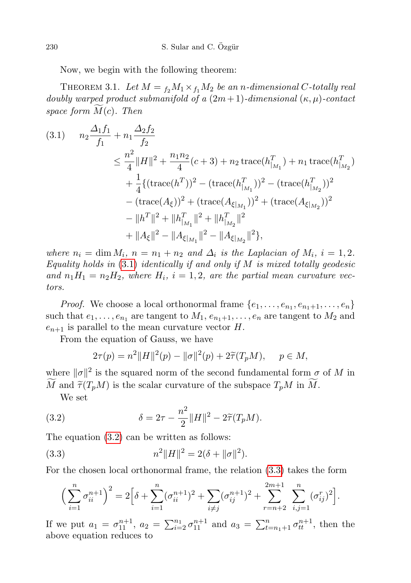Now, we begin with the following theorem:

<span id="page-7-3"></span>THEOREM 3.1. Let  $M = f_2 M_1 \times f_1 M_2$  be an n-dimensional C-totally real doubly warped product submanifold of a  $(2m+1)$ -dimensional  $(\kappa, \mu)$ -contact space form  $M(c)$ . Then

<span id="page-7-0"></span>
$$
(3.1) \t n_2 \frac{\Delta_1 f_1}{f_1} + n_1 \frac{\Delta_2 f_2}{f_2}
$$
  
\n
$$
\leq \frac{n^2}{4} ||H||^2 + \frac{n_1 n_2}{4} (c+3) + n_2 \operatorname{trace}(h_{|M_1}^T) + n_1 \operatorname{trace}(h_{|M_2}^T)
$$
  
\n
$$
+ \frac{1}{4} \{ (\operatorname{trace}(h^T))^2 - (\operatorname{trace}(h_{|M_1}^T))^2 - (\operatorname{trace}(h_{|M_2}^T))^2
$$
  
\n
$$
- (\operatorname{trace}(A_{\xi}))^2 + (\operatorname{trace}(A_{\xi|M_1}))^2 + (\operatorname{trace}(A_{\xi|M_2}))^2
$$
  
\n
$$
- ||h^T||^2 + ||h_{|M_1}^T||^2 + ||h_{|M_2}^T||^2
$$
  
\n
$$
+ ||A_{\xi}||^2 - ||A_{\xi|M_1}||^2 - ||A_{\xi|M_2}||^2 \},
$$

where  $n_i = \dim M_i$ ,  $n = n_1 + n_2$  and  $\Delta_i$  is the Laplacian of  $M_i$ ,  $i = 1, 2$ . Equality holds in  $(3.1)$  $(3.1)$  identically if and only if M is mixed totally geodesic and  $n_1H_1 = n_2H_2$ , where  $H_i$ ,  $i = 1, 2$ , are the partial mean curvature vectors.

*Proof.* We choose a local orthonormal frame  $\{e_1, \ldots, e_{n_1}, e_{n_1+1}, \ldots, e_n\}$ such that  $e_1, \ldots, e_{n_1}$  are tangent to  $M_1, e_{n_1+1}, \ldots, e_n$  are tangent to  $M_2$  and  $e_{n+1}$  is parallel to the mean curvature vector H.

From the equation of Gauss, we have

<span id="page-7-1"></span>
$$
2\tau(p) = n^2 ||H||^2(p) - ||\sigma||^2(p) + 2\tilde{\tau}(T_p M), \quad p \in M,
$$

where  $\|\sigma\|^2$  is the squared norm of the second fundamental form  $\sigma$  of M in M and  $\tilde{\tau}(T_pM)$  is the scalar curvature of the subspace  $T_pM$  in M.

We set

(3.2) 
$$
\delta = 2\tau - \frac{n^2}{2} ||H||^2 - 2\widetilde{\tau}(T_p M).
$$

The equation [\(3.2\)](#page-7-1) can be written as follows:

(3.3) 
$$
n^2||H||^2 = 2(\delta + ||\sigma||^2).
$$

For the chosen local orthonormal frame, the relation [\(3.3\)](#page-7-2) takes the form

<span id="page-7-2"></span>
$$
\left(\sum_{i=1}^n \sigma_{ii}^{n+1}\right)^2 = 2\Big[\delta + \sum_{i=1}^n (\sigma_{ii}^{n+1})^2 + \sum_{i \neq j} (\sigma_{ij}^{n+1})^2 + \sum_{r=n+2}^{2m+1} \sum_{i,j=1}^n (\sigma_{ij}^r)^2\Big].
$$

If we put  $a_1 = \sigma_{11}^{n+1}$ ,  $a_2 = \sum_{i=2}^{n_1} \sigma_{11}^{n+1}$  and  $a_3 = \sum_{t=n_1+1}^{n} \sigma_{tt}^{n+1}$ , then the above equation reduces to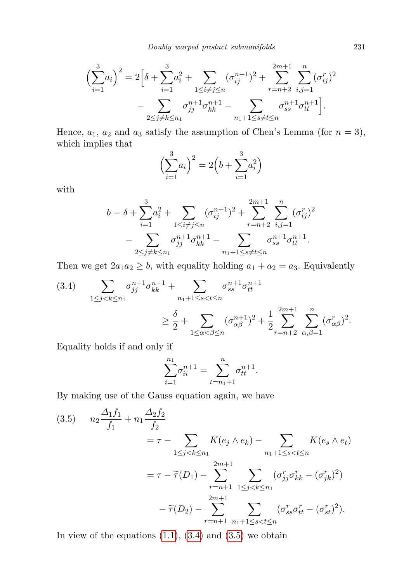$$
\left(\sum_{i=1}^{3} a_i\right)^2 = 2\left[\delta + \sum_{i=1}^{3} a_i^2 + \sum_{1 \le i \ne j \le n} (\sigma_{ij}^{n+1})^2 + \sum_{r=n+2}^{2m+1} \sum_{i,j=1}^n (\sigma_{ij}^r)^2 - \sum_{2 \le j \ne k \le n_1} \sigma_{jj}^{n+1} \sigma_{kk}^{n+1} - \sum_{n_1+1 \le s \ne t \le n} \sigma_{ss}^{n+1} \sigma_{tt}^{n+1}\right].
$$

Hence,  $a_1$ ,  $a_2$  and  $a_3$  satisfy the assumption of Chen's Lemma (for  $n = 3$ ), which implies that

$$
\left(\sum_{i=1}^{3} a_i\right)^2 = 2\left(b + \sum_{i=1}^{3} a_i^2\right)
$$

with

$$
b = \delta + \sum_{i=1}^{3} a_i^2 + \sum_{1 \le i \ne j \le n} (\sigma_{ij}^{n+1})^2 + \sum_{r=n+2}^{2m+1} \sum_{i,j=1}^n (\sigma_{ij}^r)^2 - \sum_{2 \le j \ne k \le n} \sigma_{jj}^{n+1} \sigma_{kk}^{n+1} - \sum_{n_1+1 \le s \ne t \le n} \sigma_{ss}^{n+1} \sigma_{tt}^{n+1}.
$$

Then we get  $2a_1a_2 \geq b$ , with equality holding  $a_1 + a_2 = a_3$ . Equivalently

<span id="page-8-0"></span>
$$
(3.4) \qquad \sum_{1 \le j < k \le n_1} \sigma_{jj}^{n+1} \sigma_{kk}^{n+1} + \sum_{n_1+1 \le s < t \le n} \sigma_{ss}^{n+1} \sigma_{tt}^{n+1}
$$
\n
$$
\ge \frac{\delta}{2} + \sum_{1 \le \alpha < \beta \le n} (\sigma_{\alpha\beta}^{n+1})^2 + \frac{1}{2} \sum_{r=n+2}^{2m+1} \sum_{\alpha,\beta=1}^n (\sigma_{\alpha\beta}^r)^2.
$$

Equality holds if and only if

$$
\sum_{i=1}^{n_1} \sigma_{ii}^{n+1} = \sum_{t=n_1+1}^{n} \sigma_{tt}^{n+1}.
$$

By making use of the Gauss equation again, we have

<span id="page-8-1"></span>
$$
(3.5) \t n_2 \frac{\Delta_1 f_1}{f_1} + n_1 \frac{\Delta_2 f_2}{f_2}
$$
  
=  $\tau - \sum_{1 \le j < k \le n_1} K(e_j \wedge e_k) - \sum_{n_1 + 1 \le s < t \le n} K(e_s \wedge e_t)$   
=  $\tau - \tilde{\tau}(D_1) - \sum_{r=n+1}^{2m+1} \sum_{1 \le j < k \le n_1} (\sigma_{jj}^r \sigma_{kk}^r - (\sigma_{jk}^r)^2)$   
 $-\tilde{\tau}(D_2) - \sum_{r=n+1}^{2m+1} \sum_{n_1 + 1 \le s < t \le n} (\sigma_{ss}^r \sigma_{tt}^r - (\sigma_{st}^r)^2).$ 

In view of the equations  $(1.1)$ ,  $(3.4)$  and  $(3.5)$  we obtain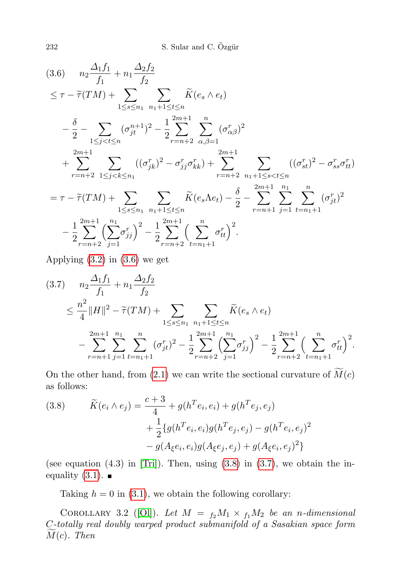<span id="page-9-0"></span>
$$
(3.6) \t n_2 \frac{\Delta_1 f_1}{f_1} + n_1 \frac{\Delta_2 f_2}{f_2}
$$
  
\n
$$
\leq \tau - \tilde{\tau}(TM) + \sum_{1 \leq s \leq n_1} \sum_{n_1+1 \leq t \leq n} \tilde{K}(e_s \wedge e_t)
$$
  
\n
$$
- \frac{\delta}{2} - \sum_{1 \leq j < t \leq n} (\sigma_{jt}^{n+1})^2 - \frac{1}{2} \sum_{r=n+2}^{2m+1} \sum_{\alpha,\beta=1}^n (\sigma_{\alpha\beta}^r)^2
$$
  
\n
$$
+ \sum_{r=n+2}^{2m+1} \sum_{1 \leq j < k \leq n_1} ((\sigma_{jk}^r)^2 - \sigma_{jj}^r \sigma_{kk}^r) + \sum_{r=n+2}^{2m+1} \sum_{n_1+1 \leq s < t \leq n} ((\sigma_{st}^r)^2 - \sigma_{ss}^r \sigma_{tt}^r)
$$
  
\n
$$
= \tau - \tilde{\tau}(TM) + \sum_{1 \leq s \leq n_1} \sum_{n_1+1 \leq t \leq n} \tilde{K}(e_s \Lambda e_t) - \frac{\delta}{2} - \sum_{r=n+1}^{2m+1} \sum_{j=1}^n \sum_{t=n_1+1}^n (\sigma_{jt}^r)^2
$$
  
\n
$$
- \frac{1}{2} \sum_{r=n+2}^{2m+1} \left(\sum_{j=1}^{n_1} \sigma_{jj}^r\right)^2 - \frac{1}{2} \sum_{r=n+2}^{2m+1} \left(\sum_{t=n_1+1}^n \sigma_{tt}^r\right)^2.
$$

Applying  $(3.2)$  in  $(3.6)$  we get

<span id="page-9-1"></span>
$$
(3.7) \t n_2 \frac{\Delta_1 f_1}{f_1} + n_1 \frac{\Delta_2 f_2}{f_2}
$$
  
\n
$$
\leq \frac{n^2}{4} ||H||^2 - \tilde{\tau}(TM) + \sum_{1 \leq s \leq n_1} \sum_{n_1+1 \leq t \leq n} \tilde{K}(e_s \wedge e_t)
$$
  
\n
$$
- \sum_{r=n+1}^{2m+1} \sum_{j=1}^{n_1} \sum_{t=n_1+1}^n (\sigma_{jt}^r)^2 - \frac{1}{2} \sum_{r=n+2}^{2m+1} \left(\sum_{j=1}^{n_1} \sigma_{jj}^r\right)^2 - \frac{1}{2} \sum_{r=n+2}^{2m+1} \left(\sum_{t=n_1+1}^n \sigma_{tt}^r\right)^2.
$$

On the other hand, from [\(2.1\)](#page-5-0) we can write the sectional curvature of  $\widetilde{M}(c)$ as follows:

(3.8) 
$$
\widetilde{K}(e_i \wedge e_j) = \frac{c+3}{4} + g(h^T e_i, e_i) + g(h^T e_j, e_j) + \frac{1}{2} \{ g(h^T e_i, e_i) g(h^T e_j, e_j) - g(h^T e_i, e_j)^2 - g(A_{\xi} e_i, e_i) g(A_{\xi} e_j, e_j) + g(A_{\xi} e_i, e_j)^2 \}
$$

(see equation  $(4.3)$  in [\[Tri\]](#page-13-4)). Then, using  $(3.8)$  in  $(3.7)$ , we obtain the inequality  $(3.1)$ .

Taking  $h = 0$  in [\(3.1\)](#page-7-0), we obtain the following corollary:

COROLLARY 3.2 ([\[Ol\]](#page-13-5)). Let  $M = f_2M_1 \times f_1M_2$  be an n-dimensional C-totally real doubly warped product submanifold of a Sasakian space form  $\widetilde{M}(c)$ . Then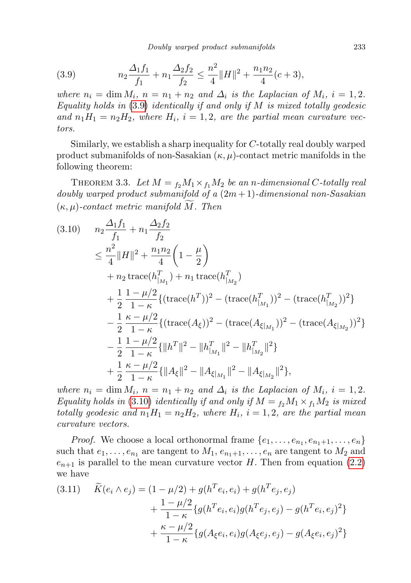<span id="page-10-0"></span>(3.9) 
$$
n_2 \frac{\Delta_1 f_1}{f_1} + n_1 \frac{\Delta_2 f_2}{f_2} \le \frac{n^2}{4} ||H||^2 + \frac{n_1 n_2}{4} (c+3),
$$

where  $n_i = \dim M_i$ ,  $n = n_1 + n_2$  and  $\Delta_i$  is the Laplacian of  $M_i$ ,  $i = 1, 2$ . Equality holds in  $(3.9)$  $(3.9)$  identically if and only if M is mixed totally geodesic and  $n_1H_1 = n_2H_2$ , where  $H_i$ ,  $i = 1, 2$ , are the partial mean curvature vectors.

Similarly, we establish a sharp inequality for C-totally real doubly warped product submanifolds of non-Sasakian  $(\kappa, \mu)$ -contact metric manifolds in the following theorem:

THEOREM 3.3. Let  $M = f_2 M_1 \times f_1 M_2$  be an n-dimensional C-totally real doubly warped product submanifold of a  $(2m+1)$ -dimensional non-Sasakian  $(\kappa, \mu)$ -contact metric manifold M. Then

<span id="page-10-1"></span>
$$
(3.10) \t n_2 \frac{\Delta_1 f_1}{f_1} + n_1 \frac{\Delta_2 f_2}{f_2}
$$
  
\n
$$
\leq \frac{n^2}{4} ||H||^2 + \frac{n_1 n_2}{4} \left( 1 - \frac{\mu}{2} \right)
$$
  
\n
$$
+ n_2 \operatorname{trace}(h_{|M_1}^T) + n_1 \operatorname{trace}(h_{|M_2}^T)
$$
  
\n
$$
+ \frac{1}{2} \frac{1 - \mu/2}{1 - \kappa} \{ (\operatorname{trace}(h^T))^2 - (\operatorname{trace}(h_{|M_1}^T))^2 - (\operatorname{trace}(h_{|M_2}^T))^2 \}
$$
  
\n
$$
- \frac{1}{2} \frac{\kappa - \mu/2}{1 - \kappa} \{ (\operatorname{trace}(A_{\xi}))^2 - (\operatorname{trace}(A_{\xi|M_1}))^2 - (\operatorname{trace}(A_{\xi|M_2}))^2 \}
$$
  
\n
$$
- \frac{1}{2} \frac{1 - \mu/2}{1 - \kappa} \{ ||h^T||^2 - ||h_{|M_1}^T||^2 - ||h_{|M_2}^T||^2 \}
$$
  
\n
$$
+ \frac{1}{2} \frac{\kappa - \mu/2}{1 - \kappa} \{ ||A_{\xi}||^2 - ||A_{\xi|M_1}||^2 - ||A_{\xi|M_2}||^2 \},
$$

where  $n_i = \dim M_i$ ,  $n = n_1 + n_2$  and  $\Delta_i$  is the Laplacian of  $M_i$ ,  $i = 1, 2$ . Equality holds in (3.[10\)](#page-10-1) identically if and only if  $M = f_2M_1 \times f_1M_2$  is mixed totally geodesic and  $n_1H_1 = n_2H_2$ , where  $H_i$ ,  $i = 1, 2$ , are the partial mean curvature vectors.

*Proof.* We choose a local orthonormal frame  $\{e_1, \ldots, e_{n_1}, e_{n_1+1}, \ldots, e_n\}$ such that  $e_1, \ldots, e_{n_1}$  are tangent to  $M_1, e_{n_1+1}, \ldots, e_n$  are tangent to  $M_2$  and  $e_{n+1}$  is parallel to the mean curvature vector H. Then from equation [\(2.2\)](#page-6-1) we have

$$
(3.11) \quad \widetilde{K}(e_i \wedge e_j) = (1 - \mu/2) + g(h^T e_i, e_i) + g(h^T e_j, e_j)
$$

$$
+ \frac{1 - \mu/2}{1 - \kappa} \{g(h^T e_i, e_i)g(h^T e_j, e_j) - g(h^T e_i, e_j)^2\}
$$

$$
+ \frac{\kappa - \mu/2}{1 - \kappa} \{g(A_{\xi} e_i, e_i)g(A_{\xi} e_j, e_j) - g(A_{\xi} e_i, e_j)^2\}
$$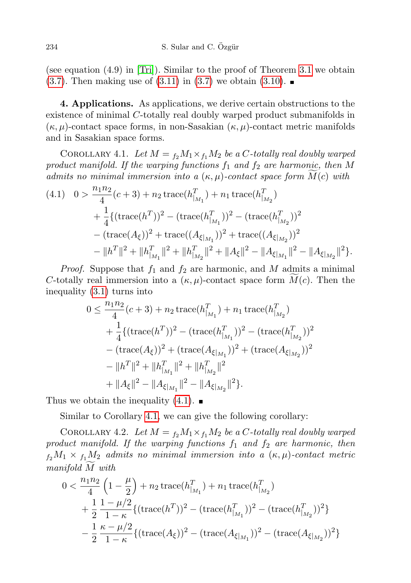(see equation (4.9) in [\[Tri\]](#page-13-4)). Similar to the proof of Theorem [3.1](#page-7-3) we obtain  $(3.7)$ . Then making use of  $(3.11)$  in  $(3.7)$  we obtain  $(3.10)$ .

<span id="page-11-0"></span>4. Applications. As applications, we derive certain obstructions to the existence of minimal C-totally real doubly warped product submanifolds in  $(\kappa, \mu)$ -contact space forms, in non-Sasakian  $(\kappa, \mu)$ -contact metric manifolds and in Sasakian space forms.

<span id="page-11-1"></span>COROLLARY 4.1. Let  $M = f_2 M_1 \times f_1 M_2$  be a C-totally real doubly warped product manifold. If the warping functions  $f_1$  and  $f_2$  are harmonic, then M admits no minimal immersion into a  $(\kappa, \mu)$ -contact space form  $M(c)$  with

$$
\begin{aligned} (4.1) \quad & 0 > \frac{n_1 n_2}{4} (c+3) + n_2 \operatorname{trace}(h_{|_{M_1}}^T) + n_1 \operatorname{trace}(h_{|_{M_2}}^T) \\ & + \frac{1}{4} \{ (\operatorname{trace}(h^T))^2 - (\operatorname{trace}(h_{|_{M_1}}^T))^2 - (\operatorname{trace}(h_{|_{M_2}}^T))^2 \\ &- (\operatorname{trace}(A_{\xi}))^2 + \operatorname{trace}((A_{\xi|_{M_1}}))^2 + \operatorname{trace}((A_{\xi|_{M_2}}))^2 \\ &- \|h^T\|^2 + \|h_{|_{M_1}}^T\|^2 + \|h_{|_{M_2}}^T\|^2 + \|A_{\xi}\|^2 - \|A_{\xi|_{M_1}}\|^2 - \|A_{\xi|_{M_2}}\|^2 \}. \end{aligned}
$$

*Proof.* Suppose that  $f_1$  and  $f_2$  are harmonic, and M admits a minimal C-totally real immersion into a  $(\kappa, \mu)$ -contact space form  $M(c)$ . Then the inequality [\(3.1\)](#page-7-0) turns into

$$
0 \leq \frac{n_1 n_2}{4} (c+3) + n_2 \operatorname{trace}(h_{|_{M_1}}^T) + n_1 \operatorname{trace}(h_{|_{M_2}}^T)
$$
  
+ 
$$
\frac{1}{4} \{ (\operatorname{trace}(h^T))^2 - (\operatorname{trace}(h_{|_{M_1}}^T))^2 - (\operatorname{trace}(h_{|_{M_2}}^T))^2
$$

$$
- (\operatorname{trace}(A_{\xi}))^2 + (\operatorname{trace}(A_{\xi|_{M_1}}))^2 + (\operatorname{trace}(A_{\xi|_{M_2}}))^2
$$

$$
- \|h^T\|^2 + \|h_{|_{M_1}}^T\|^2 + \|h_{|_{M_2}}^T\|^2
$$

$$
+ \|A_{\xi}\|^2 - \|A_{\xi|_{M_1}}\|^2 - \|A_{\xi|_{M_2}}\|^2 \}.
$$

Thus we obtain the inequality  $(4.1)$ .

Similar to Corollary [4.1,](#page-11-1) we can give the following corollary:

COROLLARY 4.2. Let  $M = f_2 M_1 \times f_1 M_2$  be a C-totally real doubly warped product manifold. If the warping functions  $f_1$  and  $f_2$  are harmonic, then  $f_2M_1 \times f_1M_2$  admits no minimal immersion into a  $(\kappa, \mu)$ -contact metric  $manifold M with$ 

$$
0 < \frac{n_1 n_2}{4} \left( 1 - \frac{\mu}{2} \right) + n_2 \operatorname{trace}(h_{|_{M_1}}^T) + n_1 \operatorname{trace}(h_{|_{M_2}}^T) + \frac{1}{2} \frac{1 - \mu/2}{1 - \kappa} \{ (\operatorname{trace}(h_{1})^T)^2 - (\operatorname{trace}(h_{|_{M_1}}^T))^2 - (\operatorname{trace}(h_{|_{M_2}}^T))^2 \} - \frac{1}{2} \frac{\kappa - \mu/2}{1 - \kappa} \{ (\operatorname{trace}(A_{\xi}))^2 - (\operatorname{trace}(A_{\xi|_{M_1}}))^2 - (\operatorname{trace}(A_{\xi|_{M_2}}))^2 \}
$$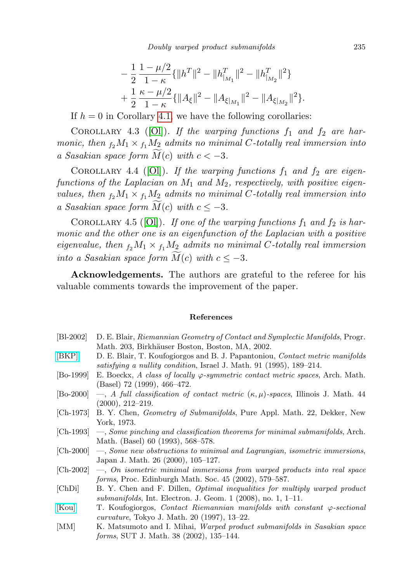$$
- \frac{1}{2} \frac{1 - \mu/2}{1 - \kappa} {\|h^T\|^2 - \|h_{|_{M_1}}^T\|^2 - \|h_{|_{M_2}}^T\|^2}
$$
  
+ 
$$
\frac{1}{2} \frac{\kappa - \mu/2}{1 - \kappa} {\|A_{\xi}\|^2 - \|A_{\xi|_{M_1}}\|^2 - \|A_{\xi|_{M_2}}\|^2}.
$$

If  $h = 0$  in Corollary [4.1,](#page-11-1) we have the following corollaries:

COROLLARY 4.3 ([\[Ol\]](#page-13-5)). If the warping functions  $f_1$  and  $f_2$  are harmonic, then  $f_2M_1 \times f_1M_2$  admits no minimal C-totally real immersion into a Sasakian space form  $M(c)$  with  $c < -3$ .

COROLLARY 4.4 ([\[Ol\]](#page-13-5)). If the warping functions  $f_1$  and  $f_2$  are eigenfunctions of the Laplacian on  $M_1$  and  $M_2$ , respectively, with positive eigenvalues, then  $f_2M_1 \times f_1M_2$  admits no minimal C-totally real immersion into a Sasakian space form  $\overline{M}(c)$  with  $c \leq -3$ .

COROLLARY 4.5 ([\[Ol\]](#page-13-5)). If one of the warping functions  $f_1$  and  $f_2$  is harmonic and the other one is an eigenfunction of the Laplacian with a positive eigenvalue, then  $f_2M_1 \times f_1M_2$  admits no minimal C-totally real immersion into a Sasakian space form  $\widetilde{M}(c)$  with  $c \leq -3$ .

Acknowledgements. The authors are grateful to the referee for his valuable comments towards the improvement of the paper.

## References

<span id="page-12-10"></span><span id="page-12-9"></span><span id="page-12-8"></span><span id="page-12-7"></span><span id="page-12-6"></span><span id="page-12-5"></span><span id="page-12-4"></span><span id="page-12-3"></span><span id="page-12-2"></span><span id="page-12-1"></span><span id="page-12-0"></span>

| $[Bl-2002]$ | D. E. Blair, Riemannian Geometry of Contact and Symplectic Manifolds, Progr.                                                                              |
|-------------|-----------------------------------------------------------------------------------------------------------------------------------------------------------|
|             | Math. 203, Birkhäuser Boston, Boston, MA, 2002.                                                                                                           |
| [BKP]       | D. E. Blair, T. Koufogiorgos and B. J. Papantoniou, Contact metric manifolds<br>satisfying a nullity condition, Israel J. Math. 91 (1995), 189–214.       |
| $[Bo-1999]$ | E. Boeckx, A class of locally $\varphi$ -symmetric contact metric spaces, Arch. Math.<br>$(Basel)$ 72 (1999), 466–472.                                    |
| [Bo-2000]   | -, A full classification of contact metric $(\kappa, \mu)$ -spaces, Illinois J. Math. 44<br>$(2000), 212 - 219.$                                          |
| [Ch-1973]   | B. Y. Chen, <i>Geometry of Submanifolds</i> , Pure Appl. Math. 22, Dekker, New<br>York, 1973.                                                             |
|             | $[Ch-1993] \quad -$ , Some pinching and classification theorems for minimal submanifolds, Arch.<br>Math. (Basel) 60 (1993), 568–578.                      |
| $ Ch-2000 $ | -, Some new obstructions to minimal and Lagrangian, isometric immersions,<br>Japan J. Math. 26 (2000), 105-127.                                           |
| $ Ch-2002 $ | $\longrightarrow$ , On isometric minimal immersions from warped products into real space<br><i>forms</i> , Proc. Edinburgh Math. Soc. 45 (2002), 579–587. |
| [ChDi]      | B. Y. Chen and F. Dillen, <i>Optimal inequalities for multiply warped product</i><br>submanifolds, Int. Electron. J. Geom. 1 $(2008)$ , no. 1, 1-11.      |
| Kou         | T. Koufogiorgos, Contact Riemannian manifolds with constant $\varphi$ -sectional<br><i>curvature</i> , Tokyo J. Math. 20 (1997), 13–22.                   |
| [MM]        | K. Matsumoto and I. Mihai, <i>Warped product submanifolds in Sasakian space</i><br><i>forms</i> , SUT J. Math. 38 (2002), 135–144.                        |